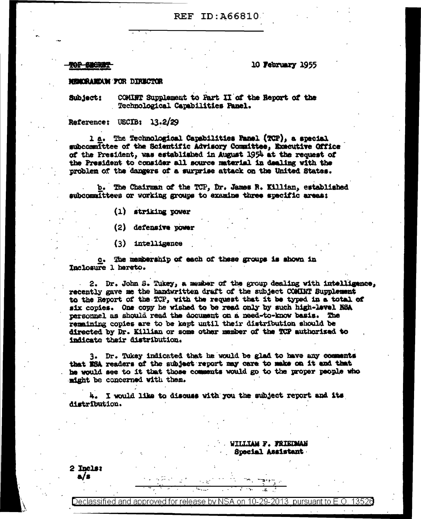# REF ID: A66810

### ROP BUGRET

### 10 February 1955

#### **MEMORANDAM FOR DIRECTOR**

COMINT Supplement to Part II of the Report of the Subject: Technological Capabilities Panel.

Reference:  $USCIB: 13.2/29$ 

1 a. The Technological Capabilities Panel (TCP), a special subcommittee of the Scientific Advisory Committee. Executive Office of the President, was established in August 1954 at the request of the President to consider all source material in dealing with the problem of the dangers of a surprise attack on the United States.

b. The Chairman of the TCP, Dr. James R. Killian, established aubcommittees or vorking groups to examine three specific areas:

- $(1)$  striking power
- (2) defensive power
- (3) intelligence

c. The membership of each of these groups is shown in Inclosure 1 hereto.

2. Dr. John S. Tukey, a member of the group dealing with intelligence, recently gave me the handwritten draft of the subject COMINT Supplement to the Report of the TCP, with the request that it be typed in a total of six copies. One copy he wished to be read only by such high-lavel NSA personnel as should read the document on a need-to-know basis. The remaining copies are to be kept until their distribution should be directed by Dr. Killian or some other member of the TCP authorized to indicate their distribution.

3. Dr. Tukey indicated that he would be glad to have any comments that NSA readers of the subject report may care to make on it and that he would see to it that those comments would go to the proper people who might be concerned with them.

4. I would like to discuss with you the subject report and its distribution.

> WILLIAM F. FRIEDMAN Special Assistant

 $2$  Incls: a/s